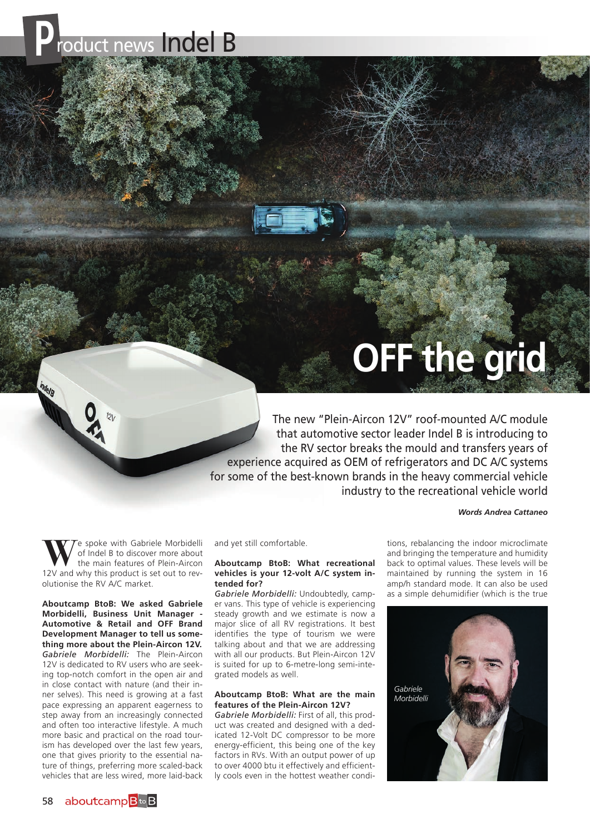

# **OFF the grid**

The new "Plein-Aircon 12V" roof-mounted A/C module that automotive sector leader Indel B is introducing to the RV sector breaks the mould and transfers years of experience acquired as OEM of refrigerators and DC A/C systems for some of the best-known brands in the heavy commercial vehicle industry to the recreational vehicle world

#### *Words Andrea Cattaneo*

**E** spoke with Gabriele Morbidelli of Indel B to discover more about the main features of Plein-Aircon 12V and why this product is set out to revolutionise the RV A/C market.

**Aboutcamp BtoB: We asked Gabriele Morbidelli, Business Unit Manager - Automotive & Retail and OFF Brand Development Manager to tell us something more about the Plein-Aircon 12V.** *Gabriele Morbidelli:* The Plein-Aircon 12V is dedicated to RV users who are seeking top-notch comfort in the open air and in close contact with nature (and their inner selves). This need is growing at a fast pace expressing an apparent eagerness to step away from an increasingly connected and often too interactive lifestyle. A much more basic and practical on the road tourism has developed over the last few years, one that gives priority to the essential nature of things, preferring more scaled-back vehicles that are less wired, more laid-back

and yet still comfortable.

#### **Aboutcamp BtoB: What recreational vehicles is your 12-volt A/C system intended for?**

*Gabriele Morbidelli:* Undoubtedly, camper vans. This type of vehicle is experiencing steady growth and we estimate is now a major slice of all RV registrations. It best identifies the type of tourism we were talking about and that we are addressing with all our products. But Plein-Aircon 12V is suited for up to 6-metre-long semi-integrated models as well.

### **Aboutcamp BtoB: What are the main features of the Plein-Aircon 12V?**

*Gabriele Morbidelli:* First of all, this product was created and designed with a dedicated 12-Volt DC compressor to be more energy-efficient, this being one of the key factors in RVs. With an output power of up to over 4000 btu it effectively and efficiently cools even in the hottest weather conditions, rebalancing the indoor microclimate and bringing the temperature and humidity back to optimal values. These levels will be maintained by running the system in 16 amp/h standard mode. It can also be used as a simple dehumidifier (which is the true